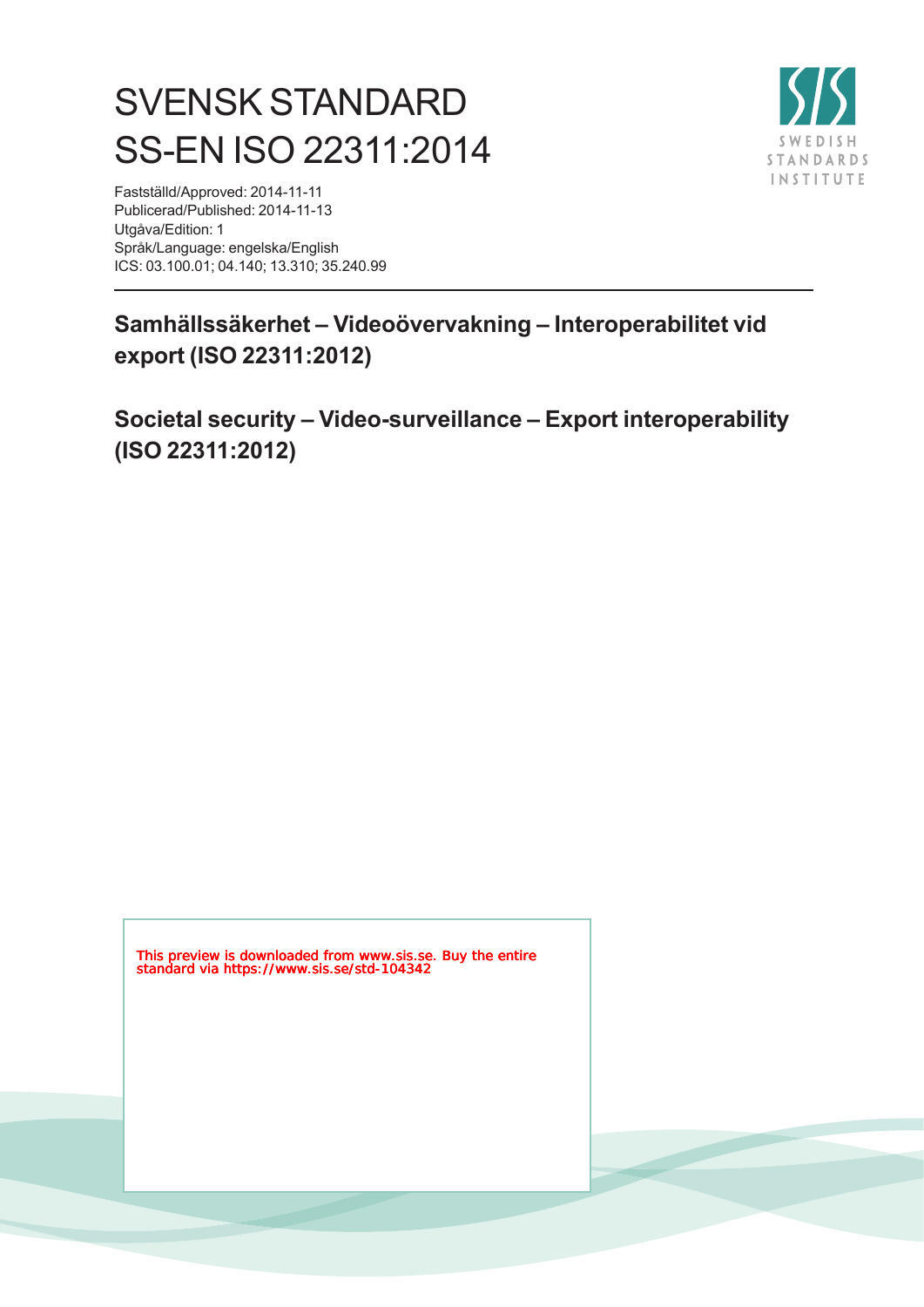# SVENSK STANDARD SS-EN ISO 22311:2014



Fastställd/Approved: 2014-11-11 Publicerad/Published: 2014-11-13 Utgåva/Edition: 1 Språk/Language: engelska/English ICS: 03.100.01; 04.140; 13.310; 35.240.99

# **Samhällssäkerhet – Videoövervakning – Interoperabilitet vid export (ISO 22311:2012)**

**Societal security – Video-surveillance – Export interoperability (ISO 22311:2012)**

This preview is downloaded from www.sis.se. Buy the entire standard via https://www.sis.se/std-104342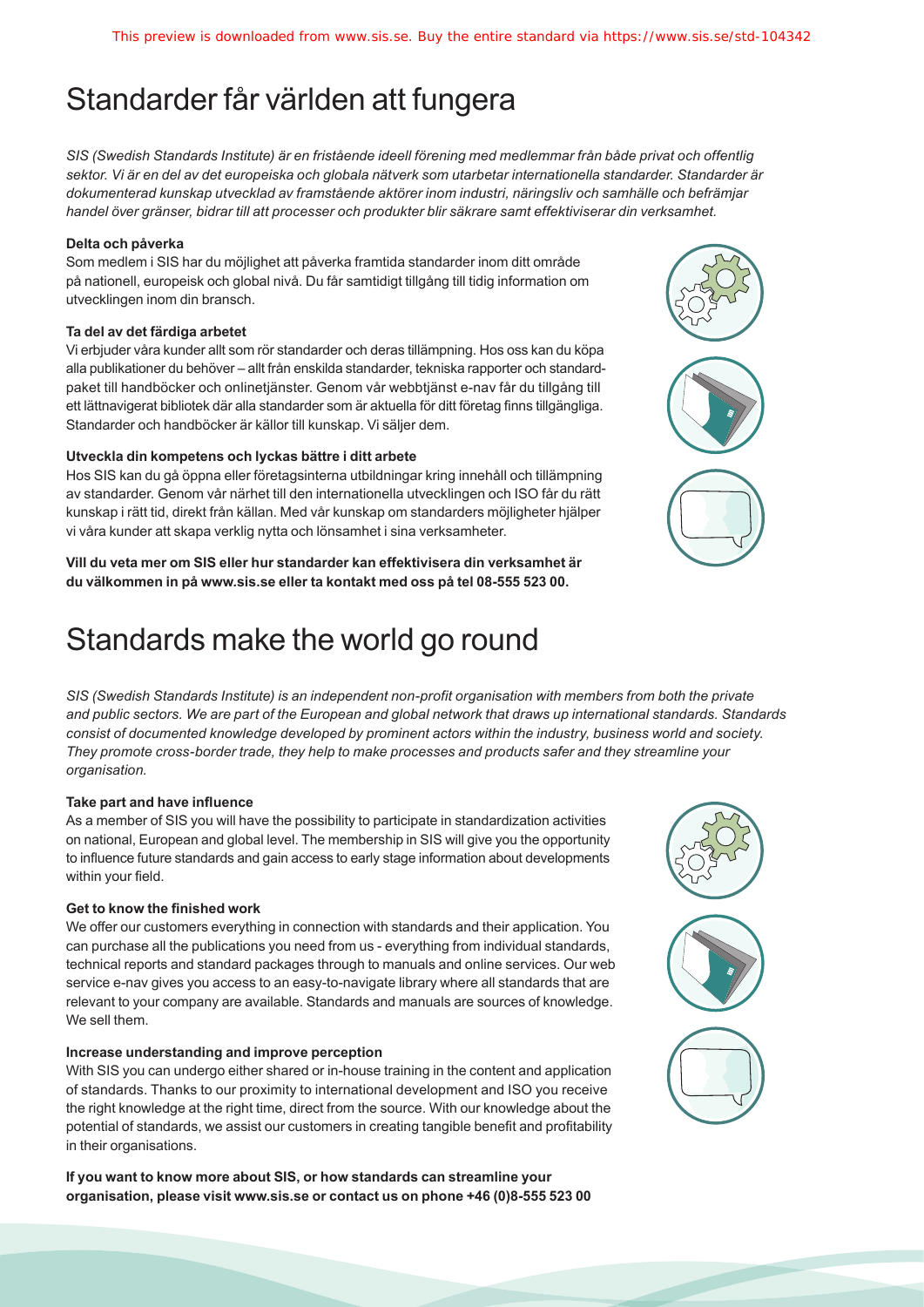# Standarder får världen att fungera

*SIS (Swedish Standards Institute) är en fristående ideell förening med medlemmar från både privat och offentlig sektor. Vi är en del av det europeiska och globala nätverk som utarbetar internationella standarder. Standarder är dokumenterad kunskap utvecklad av framstående aktörer inom industri, näringsliv och samhälle och befrämjar handel över gränser, bidrar till att processer och produkter blir säkrare samt effektiviserar din verksamhet.* 

#### **Delta och påverka**

Som medlem i SIS har du möjlighet att påverka framtida standarder inom ditt område på nationell, europeisk och global nivå. Du får samtidigt tillgång till tidig information om utvecklingen inom din bransch.

#### **Ta del av det färdiga arbetet**

Vi erbjuder våra kunder allt som rör standarder och deras tillämpning. Hos oss kan du köpa alla publikationer du behöver – allt från enskilda standarder, tekniska rapporter och standardpaket till handböcker och onlinetjänster. Genom vår webbtjänst e-nav får du tillgång till ett lättnavigerat bibliotek där alla standarder som är aktuella för ditt företag finns tillgängliga. Standarder och handböcker är källor till kunskap. Vi säljer dem.

#### **Utveckla din kompetens och lyckas bättre i ditt arbete**

Hos SIS kan du gå öppna eller företagsinterna utbildningar kring innehåll och tillämpning av standarder. Genom vår närhet till den internationella utvecklingen och ISO får du rätt kunskap i rätt tid, direkt från källan. Med vår kunskap om standarders möjligheter hjälper vi våra kunder att skapa verklig nytta och lönsamhet i sina verksamheter.

**Vill du veta mer om SIS eller hur standarder kan effektivisera din verksamhet är du välkommen in på www.sis.se eller ta kontakt med oss på tel 08-555 523 00.**

# Standards make the world go round

*SIS (Swedish Standards Institute) is an independent non-profit organisation with members from both the private and public sectors. We are part of the European and global network that draws up international standards. Standards consist of documented knowledge developed by prominent actors within the industry, business world and society. They promote cross-border trade, they help to make processes and products safer and they streamline your organisation.*

#### **Take part and have influence**

As a member of SIS you will have the possibility to participate in standardization activities on national, European and global level. The membership in SIS will give you the opportunity to influence future standards and gain access to early stage information about developments within your field.

#### **Get to know the finished work**

We offer our customers everything in connection with standards and their application. You can purchase all the publications you need from us - everything from individual standards, technical reports and standard packages through to manuals and online services. Our web service e-nav gives you access to an easy-to-navigate library where all standards that are relevant to your company are available. Standards and manuals are sources of knowledge. We sell them.

#### **Increase understanding and improve perception**

With SIS you can undergo either shared or in-house training in the content and application of standards. Thanks to our proximity to international development and ISO you receive the right knowledge at the right time, direct from the source. With our knowledge about the potential of standards, we assist our customers in creating tangible benefit and profitability in their organisations.

**If you want to know more about SIS, or how standards can streamline your organisation, please visit www.sis.se or contact us on phone +46 (0)8-555 523 00**



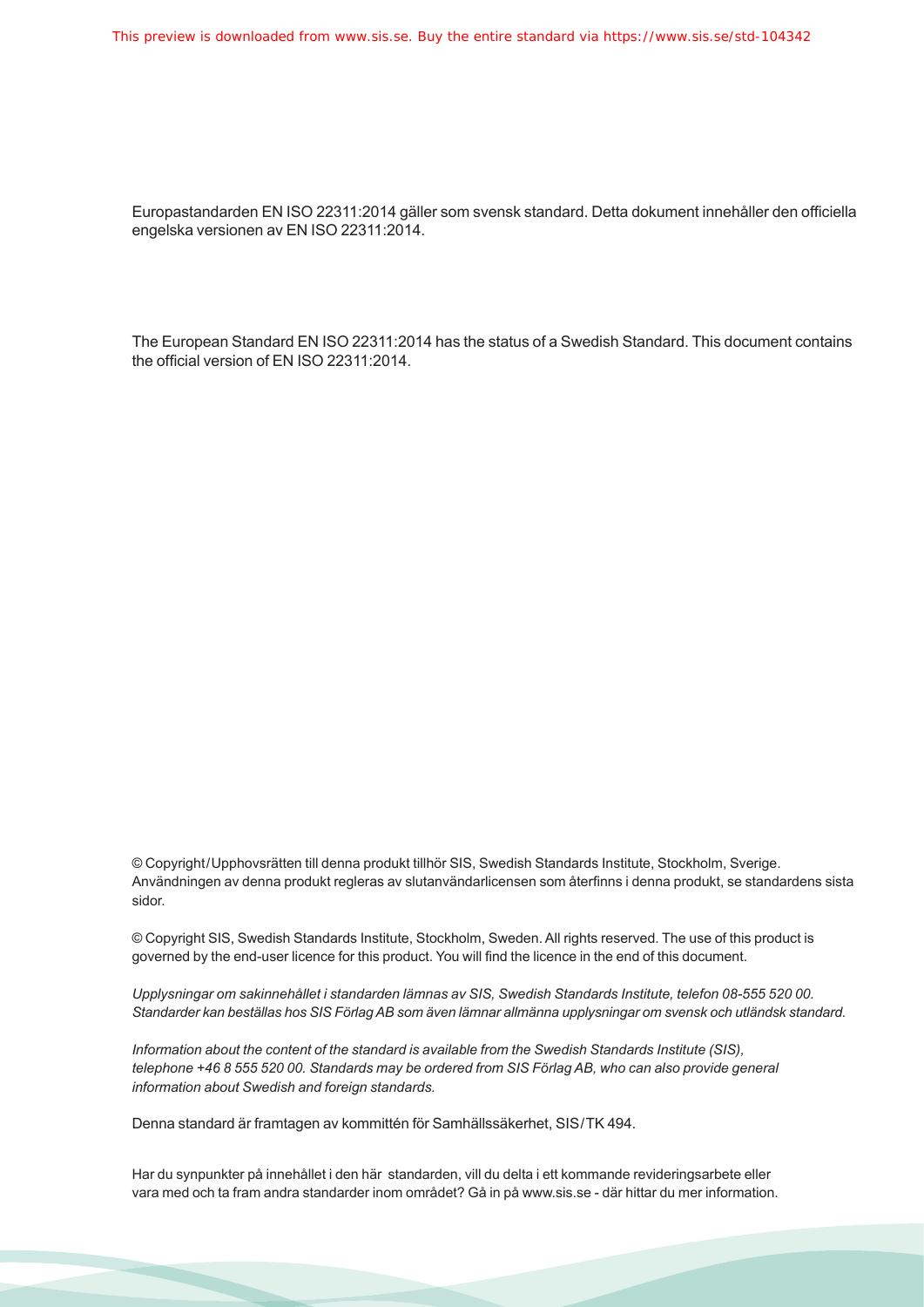Europastandarden EN ISO 22311:2014 gäller som svensk standard. Detta dokument innehåller den officiella engelska versionen av EN ISO 22311:2014.

The European Standard EN ISO 22311:2014 has the status of a Swedish Standard. This document contains the official version of EN ISO 22311:2014.

© Copyright / Upphovsrätten till denna produkt tillhör SIS, Swedish Standards Institute, Stockholm, Sverige. Användningen av denna produkt regleras av slutanvändarlicensen som återfinns i denna produkt, se standardens sista sidor.

© Copyright SIS, Swedish Standards Institute, Stockholm, Sweden. All rights reserved. The use of this product is governed by the end-user licence for this product. You will find the licence in the end of this document.

*Upplysningar om sakinnehållet i standarden lämnas av SIS, Swedish Standards Institute, telefon 08-555 520 00. Standarder kan beställas hos SIS Förlag AB som även lämnar allmänna upplysningar om svensk och utländsk standard.*

*Information about the content of the standard is available from the Swedish Standards Institute (SIS), telephone +46 8 555 520 00. Standards may be ordered from SIS Förlag AB, who can also provide general information about Swedish and foreign standards.*

Denna standard är framtagen av kommittén för Samhällssäkerhet, SIS / TK 494.

Har du synpunkter på innehållet i den här standarden, vill du delta i ett kommande revideringsarbete eller vara med och ta fram andra standarder inom området? Gå in på www.sis.se - där hittar du mer information.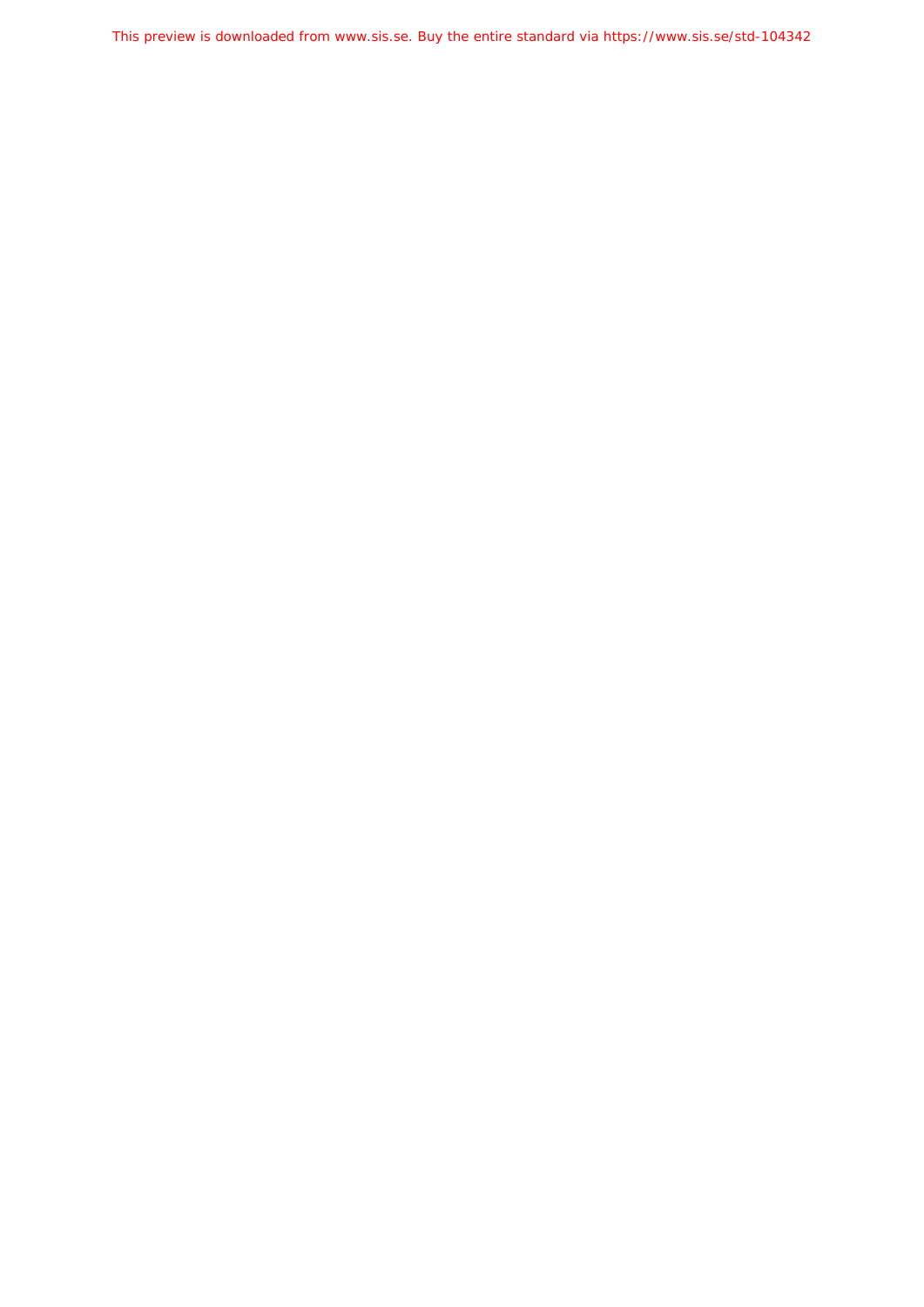This preview is downloaded from www.sis.se. Buy the entire standard via https://www.sis.se/std-104342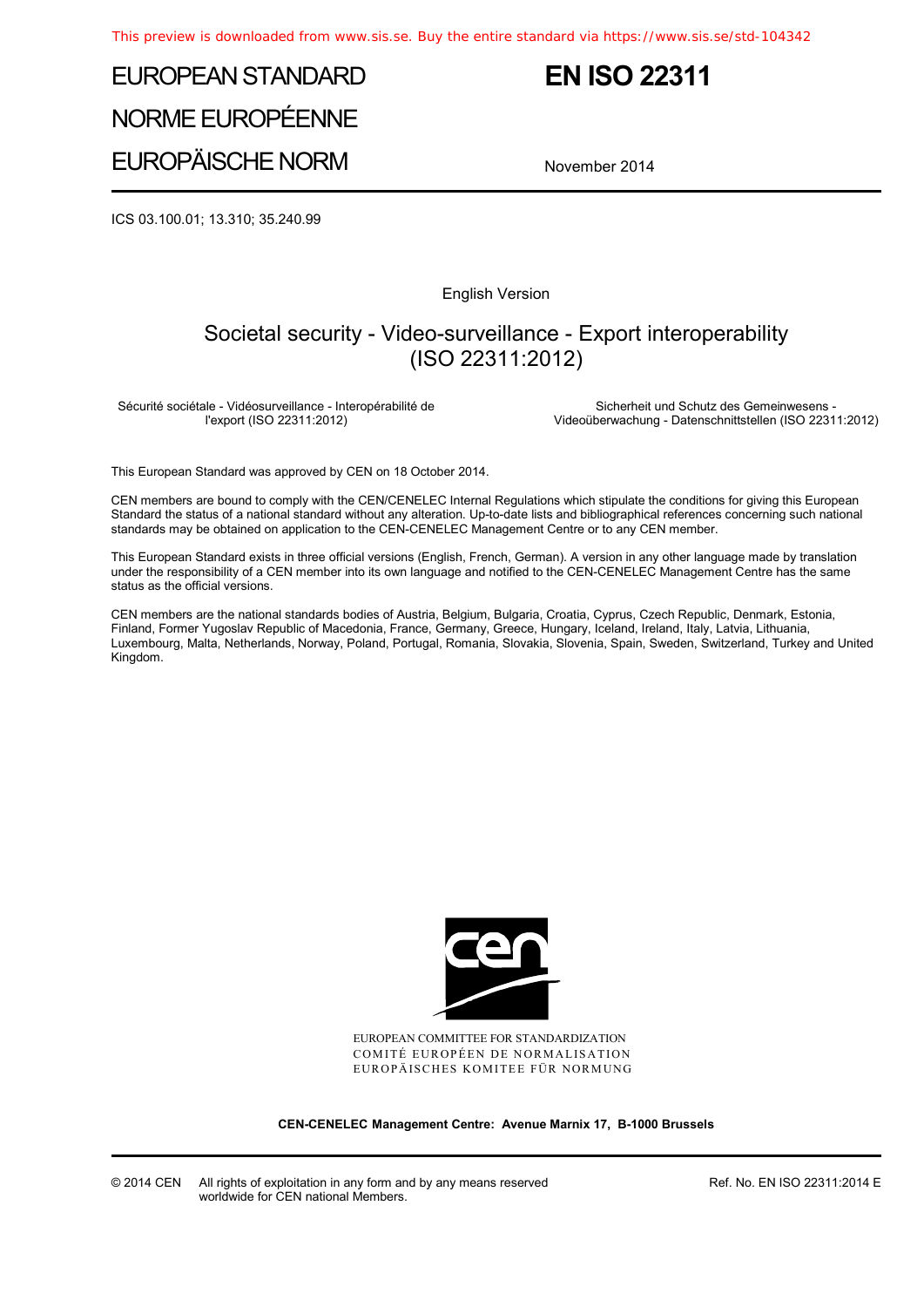# EUROPEAN STANDARD NORME EUROPÉENNE

# **EN ISO 22311**

# EUROPÄISCHE NORM

November 2014

ICS 03.100.01; 13.310; 35.240.99

English Version

### Societal security - Video-surveillance - Export interoperability (ISO 22311:2012)

Sécurité sociétale - Vidéosurveillance - Interopérabilité de l'export (ISO 22311:2012)

 Sicherheit und Schutz des Gemeinwesens - Videoüberwachung - Datenschnittstellen (ISO 22311:2012)

This European Standard was approved by CEN on 18 October 2014.

CEN members are bound to comply with the CEN/CENELEC Internal Regulations which stipulate the conditions for giving this European Standard the status of a national standard without any alteration. Up-to-date lists and bibliographical references concerning such national standards may be obtained on application to the CEN-CENELEC Management Centre or to any CEN member.

This European Standard exists in three official versions (English, French, German). A version in any other language made by translation under the responsibility of a CEN member into its own language and notified to the CEN-CENELEC Management Centre has the same status as the official versions.

CEN members are the national standards bodies of Austria, Belgium, Bulgaria, Croatia, Cyprus, Czech Republic, Denmark, Estonia, Finland, Former Yugoslav Republic of Macedonia, France, Germany, Greece, Hungary, Iceland, Ireland, Italy, Latvia, Lithuania, Luxembourg, Malta, Netherlands, Norway, Poland, Portugal, Romania, Slovakia, Slovenia, Spain, Sweden, Switzerland, Turkey and United Kingdom.



EUROPEAN COMMITTEE FOR STANDARDIZATION COMITÉ EUROPÉEN DE NORMALISATION EUROPÄISCHES KOMITEE FÜR NORMUNG

**CEN-CENELEC Management Centre: Avenue Marnix 17, B-1000 Brussels** 

Ref. No. EN ISO 22311:2014 E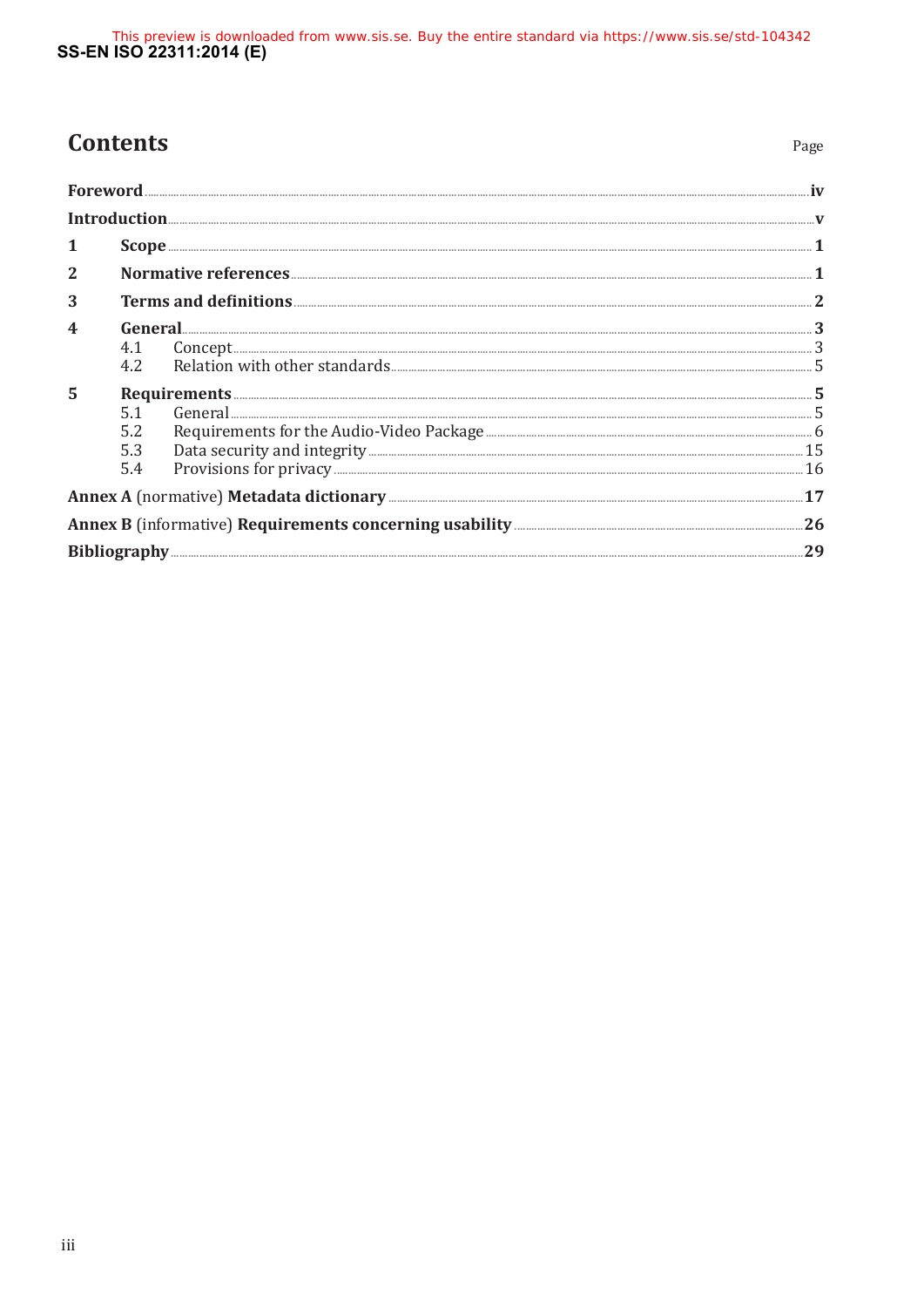# **Contents**

|   |                   | $\textbf{Scope} \texttt{} \texttt{} \texttt{} \texttt{} \texttt{} \texttt{} \texttt{} \texttt{} \texttt{} \texttt{} \texttt{} \texttt{} \texttt{} \texttt{} \texttt{} \texttt{} \texttt{} \texttt{} \texttt{} \texttt{} \texttt{} \texttt{} \texttt{} \texttt{} \texttt{} \texttt{} \texttt{} \texttt{} \texttt{} \texttt{} \texttt{} \texttt{} \texttt{} \texttt{} \texttt{} \texttt{$ |  |
|---|-------------------|-----------------------------------------------------------------------------------------------------------------------------------------------------------------------------------------------------------------------------------------------------------------------------------------------------------------------------------------------------------------------------------------|--|
|   |                   |                                                                                                                                                                                                                                                                                                                                                                                         |  |
| 3 |                   |                                                                                                                                                                                                                                                                                                                                                                                         |  |
|   | 4.1<br>4.2        | Concept 3<br>Relation with other standards 5                                                                                                                                                                                                                                                                                                                                            |  |
| 5 | 5.2<br>5.3<br>5.4 |                                                                                                                                                                                                                                                                                                                                                                                         |  |
|   |                   |                                                                                                                                                                                                                                                                                                                                                                                         |  |
|   |                   |                                                                                                                                                                                                                                                                                                                                                                                         |  |
|   |                   |                                                                                                                                                                                                                                                                                                                                                                                         |  |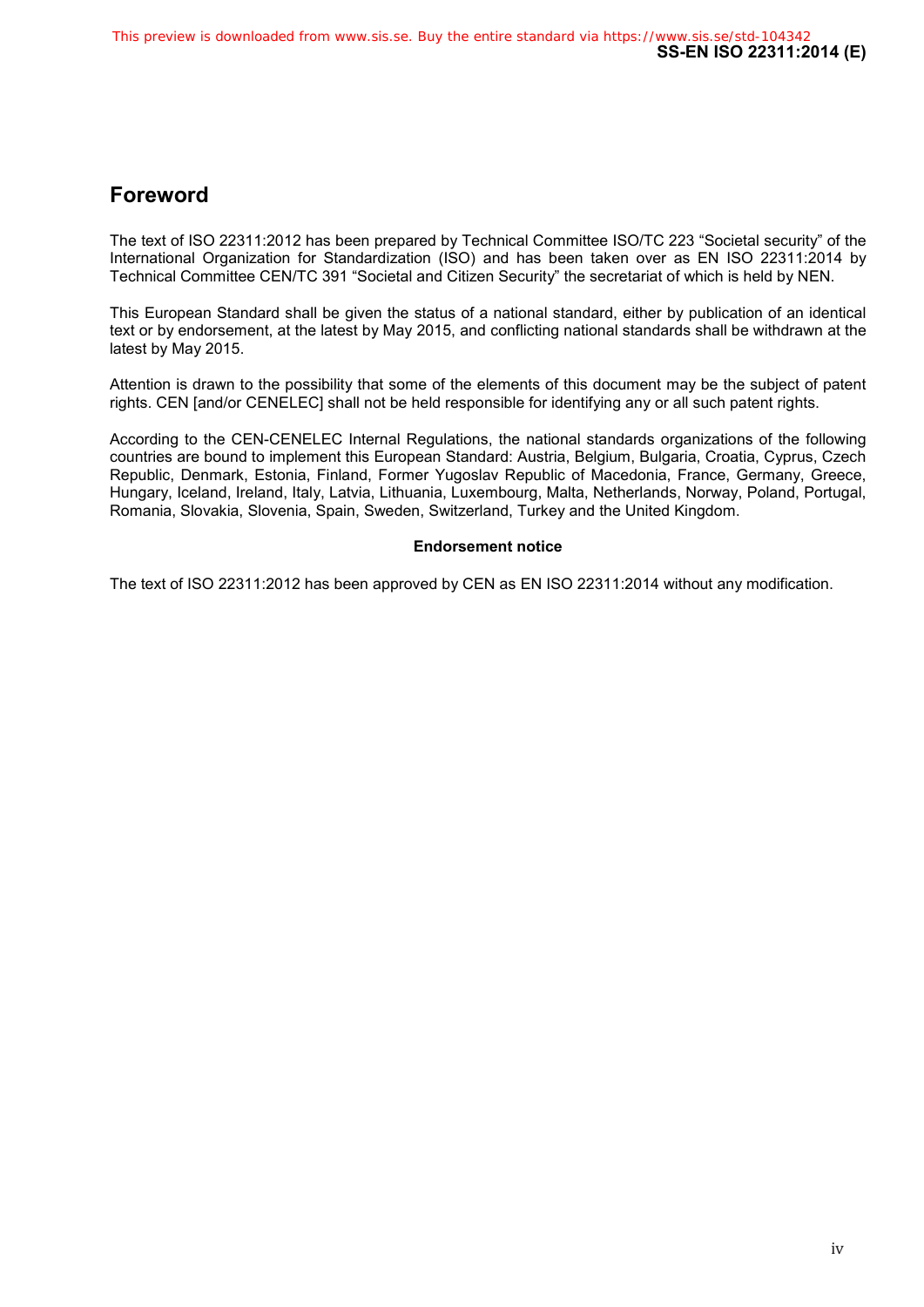## <span id="page-6-0"></span>**Foreword**

The text of ISO 22311:2012 has been prepared by Technical Committee ISO/TC 223 "Societal security" of the International Organization for Standardization (ISO) and has been taken over as EN ISO 22311:2014 by Technical Committee CEN/TC 391 "Societal and Citizen Security" the secretariat of which is held by NEN.

This European Standard shall be given the status of a national standard, either by publication of an identical text or by endorsement, at the latest by May 2015, and conflicting national standards shall be withdrawn at the latest by May 2015.

Attention is drawn to the possibility that some of the elements of this document may be the subject of patent rights. CEN [and/or CENELEC] shall not be held responsible for identifying any or all such patent rights.

According to the CEN-CENELEC Internal Regulations, the national standards organizations of the following countries are bound to implement this European Standard: Austria, Belgium, Bulgaria, Croatia, Cyprus, Czech Republic, Denmark, Estonia, Finland, Former Yugoslav Republic of Macedonia, France, Germany, Greece, Hungary, Iceland, Ireland, Italy, Latvia, Lithuania, Luxembourg, Malta, Netherlands, Norway, Poland, Portugal, Romania, Slovakia, Slovenia, Spain, Sweden, Switzerland, Turkey and the United Kingdom.

#### **Endorsement notice**

The text of ISO 22311:2012 has been approved by CEN as EN ISO 22311:2014 without any modification.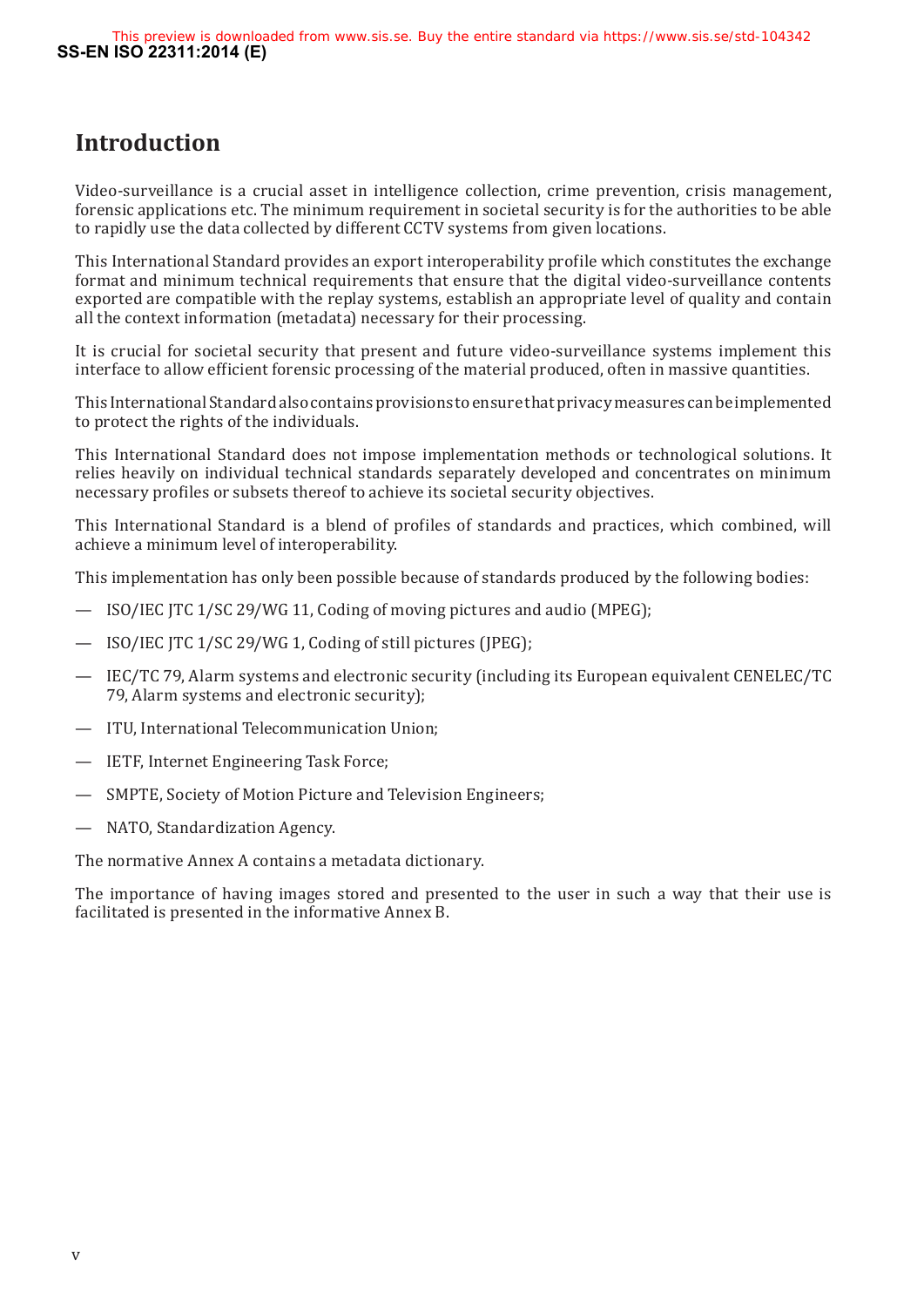## <span id="page-7-0"></span>**Introduction**

Video-surveillance is a crucial asset in intelligence collection, crime prevention, crisis management, forensic applications etc. The minimum requirement in societal security is for the authorities to be able to rapidly use the data collected by different CCTV systems from given locations.

This International Standard provides an export interoperability profile which constitutes the exchange format and minimum technical requirements that ensure that the digital video-surveillance contents exported are compatible with the replay systems, establish an appropriate level of quality and contain all the context information (metadata) necessary for their processing.

It is crucial for societal security that present and future video-surveillance systems implement this interface to allow efficient forensic processing of the material produced, often in massive quantities.

This International Standard also contains provisions to ensure that privacy measures can be implemented to protect the rights of the individuals.

This International Standard does not impose implementation methods or technological solutions. It relies heavily on individual technical standards separately developed and concentrates on minimum necessary profiles or subsets thereof to achieve its societal security objectives.

This International Standard is a blend of profiles of standards and practices, which combined, will achieve a minimum level of interoperability.

This implementation has only been possible because of standards produced by the following bodies:

- ISO/IEC JTC 1/SC 29/WG 11, Coding of moving pictures and audio (MPEG);
- ISO/IEC JTC 1/SC 29/WG 1, Coding of still pictures (JPEG);
- IEC/TC 79, Alarm systems and electronic security (including its European equivalent CENELEC/TC 79, Alarm systems and electronic security);
- ITU, International Telecommunication Union;
- IETF, Internet Engineering Task Force;
- SMPTE, Society of Motion Picture and Television Engineers;
- NATO, Standardization Agency.

The normative Annex A contains a metadata dictionary.

The importance of having images stored and presented to the user in such a way that their use is facilitated is presented in the informative Annex B.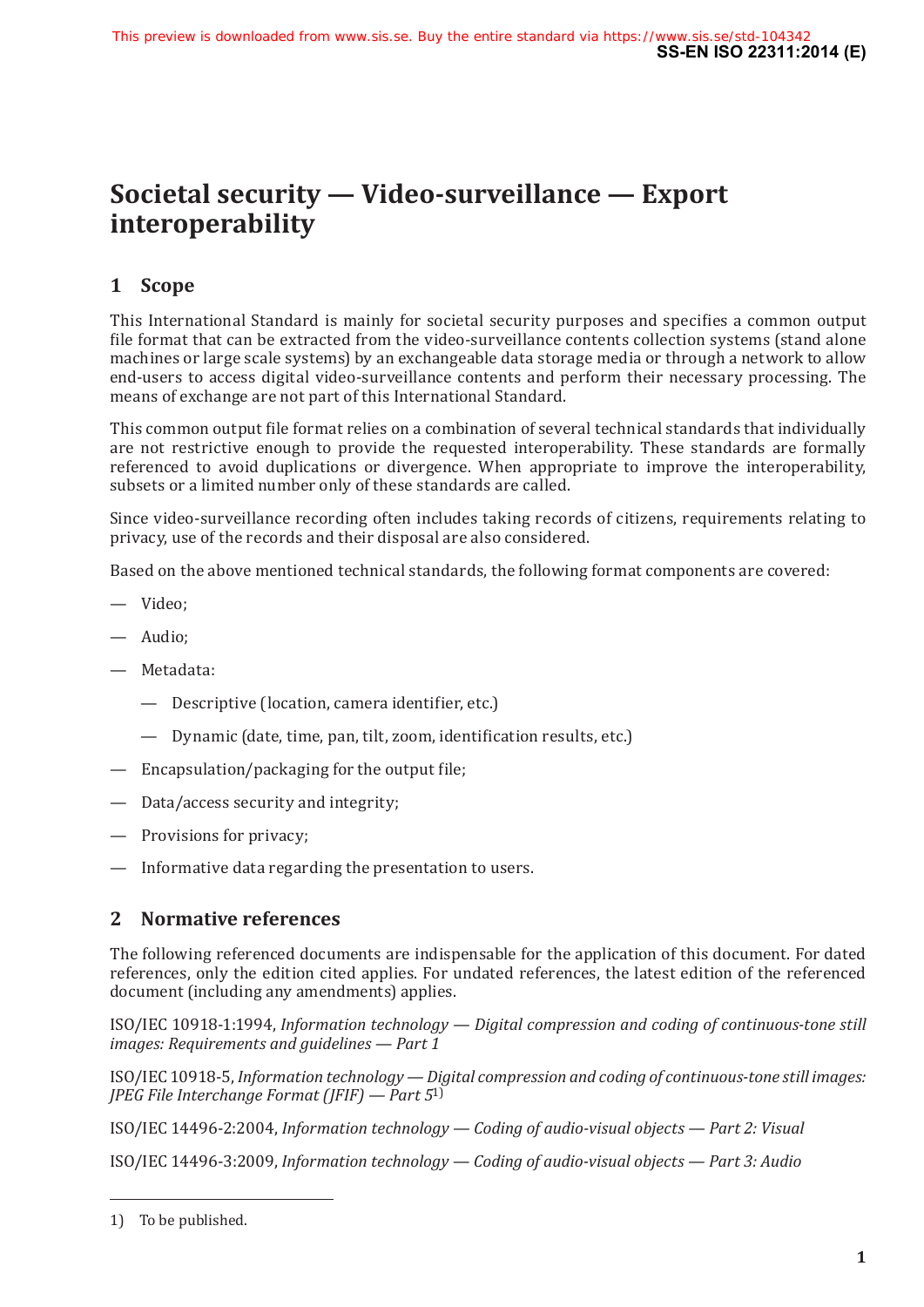# <span id="page-8-0"></span>**Societal security — Video-surveillance — Export interoperability**

### **1 Scope**

This International Standard is mainly for societal security purposes and specifies a common output file format that can be extracted from the video-surveillance contents collection systems (stand alone machines or large scale systems) by an exchangeable data storage media or through a network to allow end-users to access digital video-surveillance contents and perform their necessary processing. The means of exchange are not part of this International Standard.

This common output file format relies on a combination of several technical standards that individually are not restrictive enough to provide the requested interoperability. These standards are formally referenced to avoid duplications or divergence. When appropriate to improve the interoperability, subsets or a limited number only of these standards are called.

Since video-surveillance recording often includes taking records of citizens, requirements relating to privacy, use of the records and their disposal are also considered.

Based on the above mentioned technical standards, the following format components are covered:

- Video;
- Audio;
- Metadata:
	- Descriptive (location, camera identifier, etc.)
	- Dynamic (date, time, pan, tilt, zoom, identification results, etc.)
- Encapsulation/packaging for the output file;
- Data/access security and integrity;
- Provisions for privacy;
- Informative data regarding the presentation to users.

### **2 Normative references**

The following referenced documents are indispensable for the application of this document. For dated references, only the edition cited applies. For undated references, the latest edition of the referenced document (including any amendments) applies.

ISO/IEC 10918-1:1994, *Information technology — Digital compression and coding of continuous-tone still images: Requirements and guidelines — Part 1*

ISO/IEC 10918-5, *Information technology— Digital compression and coding of continuous-tone still images: JPEG File Interchange Format (JFIF) — Part 5*1)

ISO/IEC 14496-2:2004, *Information technology — Coding of audio-visual objects — Part 2: Visual*

ISO/IEC 14496-3:2009, *Information technology — Coding of audio-visual objects — Part 3: Audio*

<sup>1)</sup> To be published.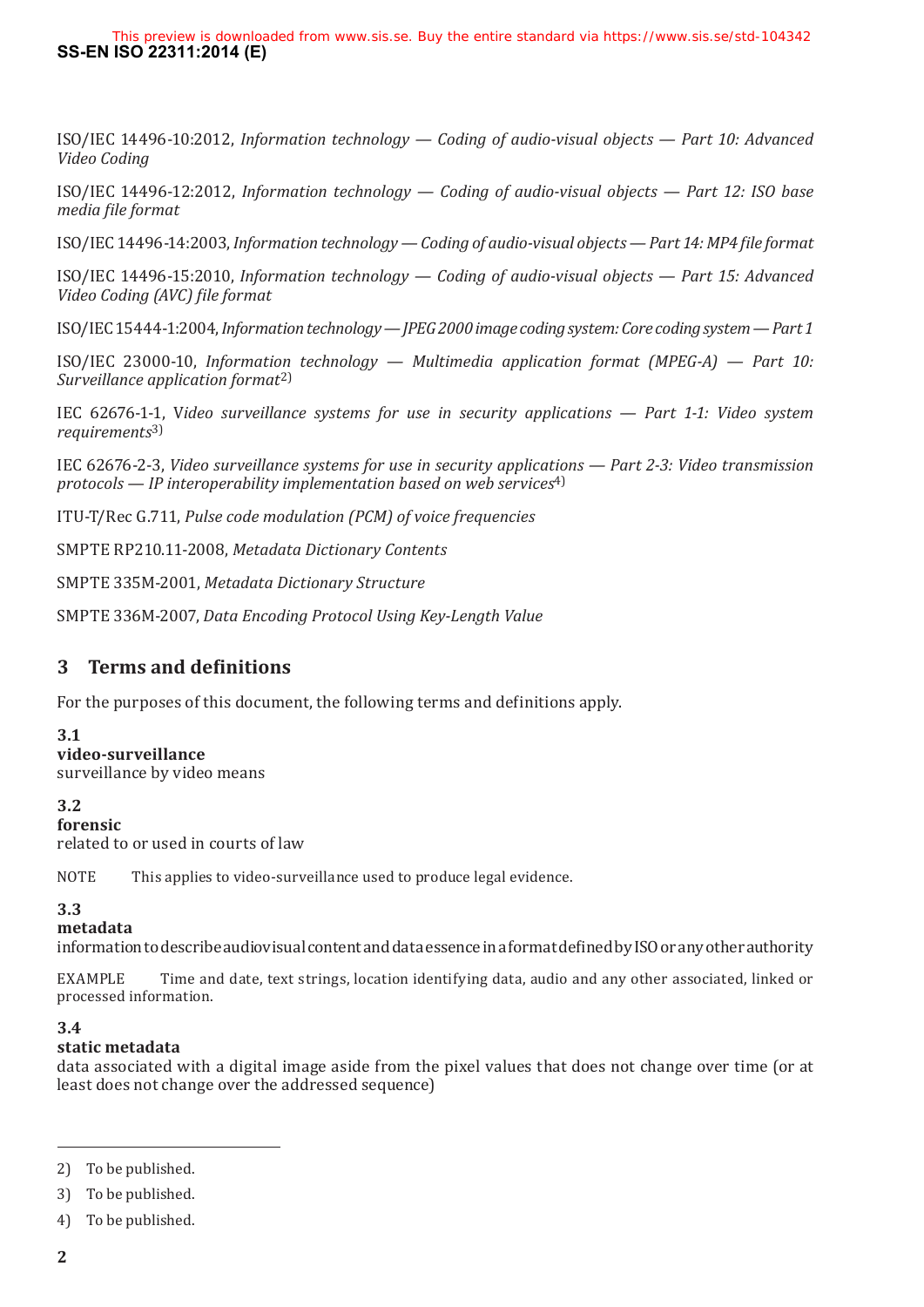<span id="page-9-0"></span>ISO/IEC 14496-10:2012, *Information technology — Coding of audio-visual objects — Part 10: Advanced Video Coding*

ISO/IEC 14496-12:2012, *Information technology — Coding of audio-visual objects — Part 12: ISO base media file format*

ISO/IEC 14496-14:2003, *Information technology— Coding of audio-visual objects— Part 14: MP4 file format*

ISO/IEC 14496-15:2010, *Information technology — Coding of audio-visual objects — Part 15: Advanced Video Coding (AVC) file format*

ISO/IEC15444-1:2004, *Information technology— JPEG 2000 image coding system: Core coding system— Part1*

ISO/IEC 23000-10, *Information technology — Multimedia application format (MPEG-A) — Part 10: Surveillance application format*2)

IEC 62676-1-1, V*ideo surveillance systems for use in security applications — Part 1-1: Video system requirements*3)

IEC 62676-2-3, *Video surveillance systems for use in security applications — Part 2-3: Video transmission protocols — IP interoperability implementation based on web services*4)

ITU-T/Rec G.711, *Pulse code modulation (PCM) of voice frequencies*

SMPTE RP210.11-2008, *Metadata Dictionary Contents*

SMPTE 335M-2001, *Metadata Dictionary Structure*

SMPTE 336M-2007, *Data Encoding Protocol Using Key-Length Value*

### **3 Terms and definitions**

For the purposes of this document, the following terms and definitions apply.

#### **3.1**

#### **video-surveillance**

surveillance by video means

#### **3.2**

#### **forensic**

related to or used in courts of law

NOTE This applies to video-surveillance used to produce legal evidence.

### **3.3**

#### **metadata**

information to describe audiovisual content and data essence in a format defined by ISO or any other authority

EXAMPLE Time and date, text strings, location identifying data, audio and any other associated, linked or processed information.

#### **3.4**

#### **static metadata**

data associated with a digital image aside from the pixel values that does not change over time (or at least does not change over the addressed sequence)

<sup>2)</sup> To be published.

<sup>3)</sup> To be published.

<sup>4)</sup> To be published.